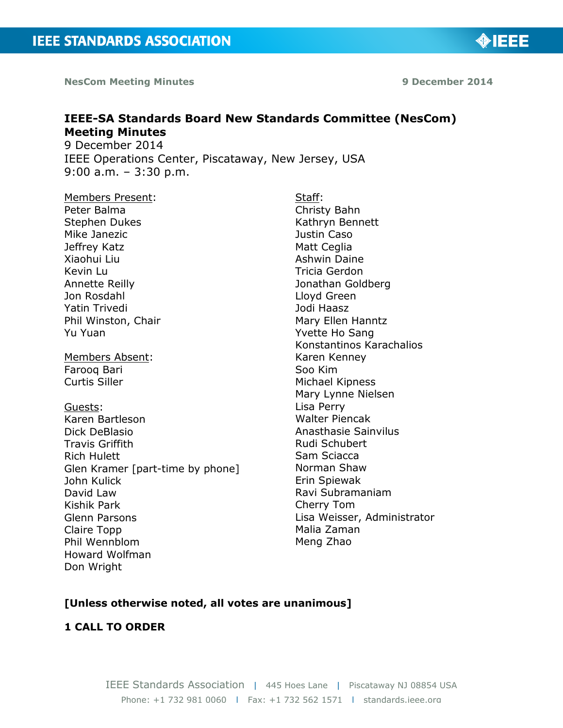**NesCom Meeting Minutes 9 December 2014**

◈IEEE

# **IEEE-SA Standards Board New Standards Committee (NesCom) Meeting Minutes**

9 December 2014 IEEE Operations Center, Piscataway, New Jersey, USA 9:00 a.m. – 3:30 p.m.

Members Present: Peter Balma Stephen Dukes Mike Janezic Jeffrey Katz Xiaohui Liu Kevin Lu Annette Reilly Jon Rosdahl Yatin Trivedi Phil Winston, Chair Yu Yuan

Members Absent: Farooq Bari Curtis Siller

Guests: Karen Bartleson Dick DeBlasio Travis Griffith Rich Hulett Glen Kramer [part-time by phone] John Kulick David Law Kishik Park Glenn Parsons Claire Topp Phil Wennblom Howard Wolfman Don Wright

Staff: Christy Bahn Kathryn Bennett Justin Caso Matt Ceglia Ashwin Daine Tricia Gerdon Jonathan Goldberg Lloyd Green Jodi Haasz Mary Ellen Hanntz Yvette Ho Sang Konstantinos Karachalios Karen Kenney Soo Kim Michael Kipness Mary Lynne Nielsen Lisa Perry Walter Piencak Anasthasie Sainvilus Rudi Schubert Sam Sciacca Norman Shaw Erin Spiewak Ravi Subramaniam Cherry Tom Lisa Weisser, Administrator Malia Zaman Meng Zhao

## **[Unless otherwise noted, all votes are unanimous]**

## **1 CALL TO ORDER**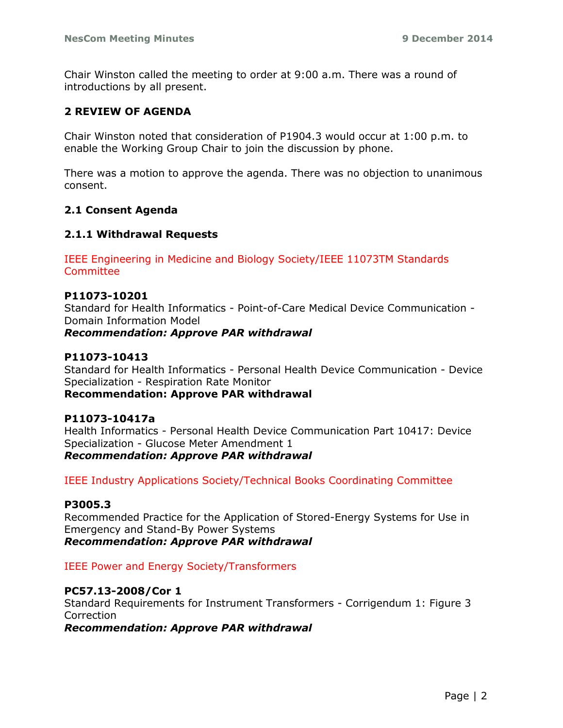Chair Winston called the meeting to order at 9:00 a.m. There was a round of introductions by all present.

### **2 REVIEW OF AGENDA**

Chair Winston noted that consideration of P1904.3 would occur at 1:00 p.m. to enable the Working Group Chair to join the discussion by phone.

There was a motion to approve the agenda. There was no objection to unanimous consent.

#### **2.1 Consent Agenda**

#### **2.1.1 Withdrawal Requests**

IEEE Engineering in Medicine and Biology Society/IEEE 11073TM Standards **Committee** 

#### **P11073-10201**

Standard for Health Informatics - Point-of-Care Medical Device Communication - Domain Information Model

*Recommendation: Approve PAR withdrawal*

### **P11073-10413**

Standard for Health Informatics - Personal Health Device Communication - Device Specialization - Respiration Rate Monitor

**Recommendation: Approve PAR withdrawal**

#### **P11073-10417a**

Health Informatics - Personal Health Device Communication Part 10417: Device Specialization - Glucose Meter Amendment 1 *Recommendation: Approve PAR withdrawal*

IEEE Industry Applications Society/Technical Books Coordinating Committee

#### **P3005.3**

Recommended Practice for the Application of Stored-Energy Systems for Use in Emergency and Stand-By Power Systems

*Recommendation: Approve PAR withdrawal*

#### IEEE Power and Energy Society/Transformers

#### **PC57.13-2008/Cor 1**

Standard Requirements for Instrument Transformers - Corrigendum 1: Figure 3 **Correction** 

*Recommendation: Approve PAR withdrawal*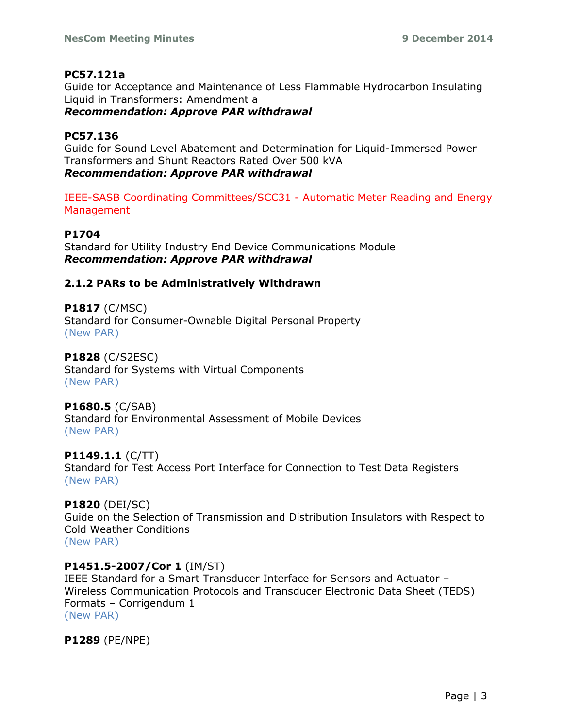## **PC57.121a**

Guide for Acceptance and Maintenance of Less Flammable Hydrocarbon Insulating Liquid in Transformers: Amendment a

*Recommendation: Approve PAR withdrawal*

## **PC57.136**

Guide for Sound Level Abatement and Determination for Liquid-Immersed Power Transformers and Shunt Reactors Rated Over 500 kVA *Recommendation: Approve PAR withdrawal*

IEEE-SASB Coordinating Committees/SCC31 - Automatic Meter Reading and Energy Management

## **P1704**

Standard for Utility Industry End Device Communications Module *Recommendation: Approve PAR withdrawal*

## **2.1.2 PARs to be Administratively Withdrawn**

**P1817** (C/MSC) Standard for Consumer-Ownable Digital Personal Property (New PAR)

## **P1828** (C/S2ESC)

Standard for Systems with Virtual Components (New PAR)

## **P1680.5** (C/SAB)

Standard for Environmental Assessment of Mobile Devices (New PAR)

## **P1149.1.1** (C/TT)

Standard for Test Access Port Interface for Connection to Test Data Registers (New PAR)

## **P1820** (DEI/SC)

Guide on the Selection of Transmission and Distribution Insulators with Respect to Cold Weather Conditions (New PAR)

## **P1451.5-2007/Cor 1** (IM/ST)

IEEE Standard for a Smart Transducer Interface for Sensors and Actuator – Wireless Communication Protocols and Transducer Electronic Data Sheet (TEDS) Formats – Corrigendum 1 (New PAR)

**P1289** (PE/NPE)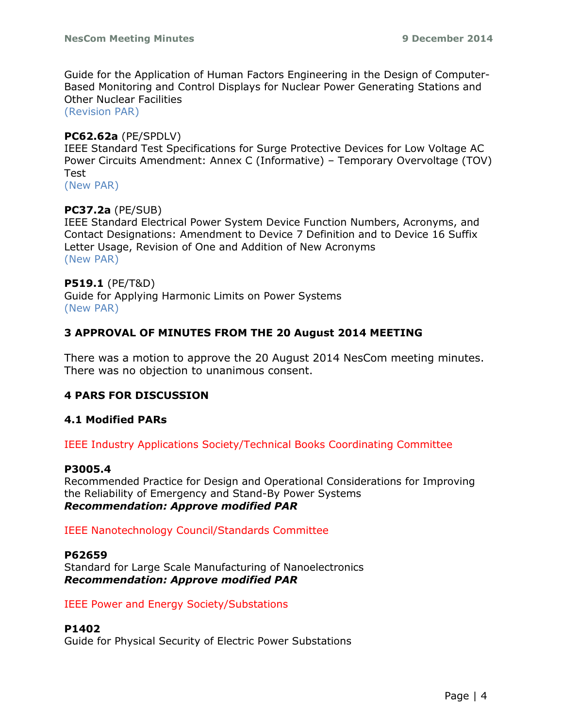Guide for the Application of Human Factors Engineering in the Design of Computer-Based Monitoring and Control Displays for Nuclear Power Generating Stations and Other Nuclear Facilities

(Revision PAR)

#### **PC62.62a** (PE/SPDLV)

IEEE Standard Test Specifications for Surge Protective Devices for Low Voltage AC Power Circuits Amendment: Annex C (Informative) – Temporary Overvoltage (TOV) Test

(New PAR)

## **PC37.2a** (PE/SUB)

IEEE Standard Electrical Power System Device Function Numbers, Acronyms, and Contact Designations: Amendment to Device 7 Definition and to Device 16 Suffix Letter Usage, Revision of One and Addition of New Acronyms (New PAR)

#### **P519.1** (PE/T&D)

Guide for Applying Harmonic Limits on Power Systems (New PAR)

#### **3 APPROVAL OF MINUTES FROM THE 20 August 2014 MEETING**

There was a motion to approve the 20 August 2014 NesCom meeting minutes. There was no objection to unanimous consent.

#### **4 PARS FOR DISCUSSION**

#### **4.1 Modified PARs**

IEEE Industry Applications Society/Technical Books Coordinating Committee

#### **P3005.4**

Recommended Practice for Design and Operational Considerations for Improving the Reliability of Emergency and Stand-By Power Systems *Recommendation: Approve modified PAR*

#### IEEE Nanotechnology Council/Standards Committee

#### **P62659**

Standard for Large Scale Manufacturing of Nanoelectronics *Recommendation: Approve modified PAR*

#### IEEE Power and Energy Society/Substations

#### **P1402**

Guide for Physical Security of Electric Power Substations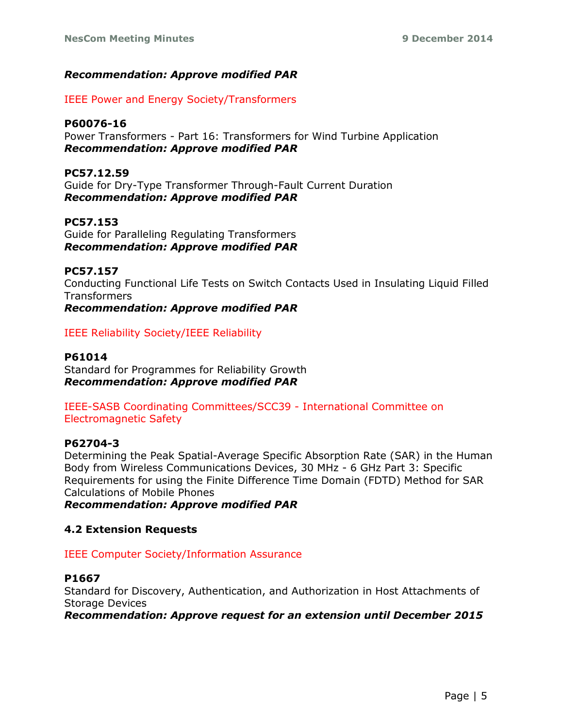## *Recommendation: Approve modified PAR*

IEEE Power and Energy Society/Transformers

## **P60076-16**

Power Transformers - Part 16: Transformers for Wind Turbine Application *Recommendation: Approve modified PAR*

## **PC57.12.59**

Guide for Dry-Type Transformer Through-Fault Current Duration *Recommendation: Approve modified PAR*

## **PC57.153**

Guide for Paralleling Regulating Transformers *Recommendation: Approve modified PAR* 

## **PC57.157**

Conducting Functional Life Tests on Switch Contacts Used in Insulating Liquid Filled Transformers

*Recommendation: Approve modified PAR* 

IEEE Reliability Society/IEEE Reliability

## **P61014**

Standard for Programmes for Reliability Growth *Recommendation: Approve modified PAR*

## IEEE-SASB Coordinating Committees/SCC39 - International Committee on Electromagnetic Safety

## **P62704-3**

Determining the Peak Spatial-Average Specific Absorption Rate (SAR) in the Human Body from Wireless Communications Devices, 30 MHz - 6 GHz Part 3: Specific Requirements for using the Finite Difference Time Domain (FDTD) Method for SAR Calculations of Mobile Phones

*Recommendation: Approve modified PAR*

## **4.2 Extension Requests**

## IEEE Computer Society/Information Assurance

## **P1667**

Standard for Discovery, Authentication, and Authorization in Host Attachments of Storage Devices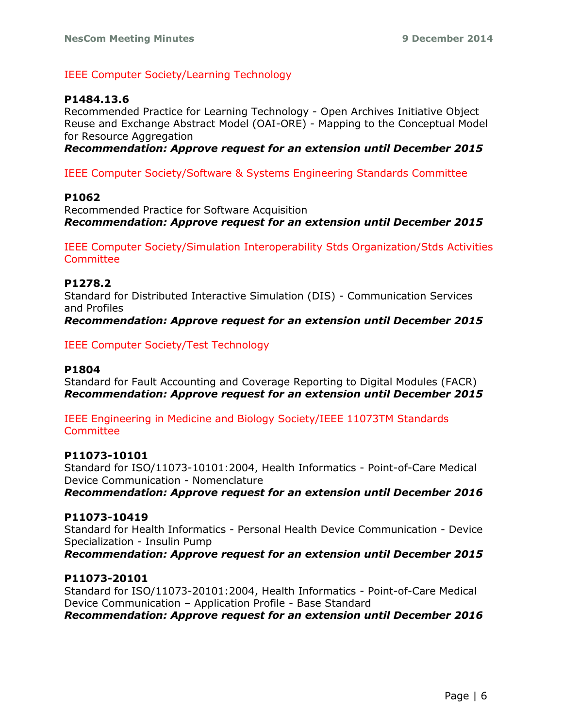### IEEE Computer Society/Learning Technology

#### **P1484.13.6**

Recommended Practice for Learning Technology - Open Archives Initiative Object Reuse and Exchange Abstract Model (OAI-ORE) - Mapping to the Conceptual Model for Resource Aggregation

*Recommendation: Approve request for an extension until December 2015*

IEEE Computer Society/Software & Systems Engineering Standards Committee

#### **P1062**

Recommended Practice for Software Acquisition *Recommendation: Approve request for an extension until December 2015*

IEEE Computer Society/Simulation Interoperability Stds Organization/Stds Activities **Committee** 

#### **P1278.2**

Standard for Distributed Interactive Simulation (DIS) - Communication Services and Profiles *Recommendation: Approve request for an extension until December 2015*

IEEE Computer Society/Test Technology

#### **P1804**

Standard for Fault Accounting and Coverage Reporting to Digital Modules (FACR) *Recommendation: Approve request for an extension until December 2015*

IEEE Engineering in Medicine and Biology Society/IEEE 11073TM Standards **Committee** 

#### **P11073-10101**

Standard for ISO/11073-10101:2004, Health Informatics - Point-of-Care Medical Device Communication - Nomenclature

*Recommendation: Approve request for an extension until December 2016*

#### **P11073-10419**

Standard for Health Informatics - Personal Health Device Communication - Device Specialization - Insulin Pump

*Recommendation: Approve request for an extension until December 2015*

#### **P11073-20101**

Standard for ISO/11073-20101:2004, Health Informatics - Point-of-Care Medical Device Communication – Application Profile - Base Standard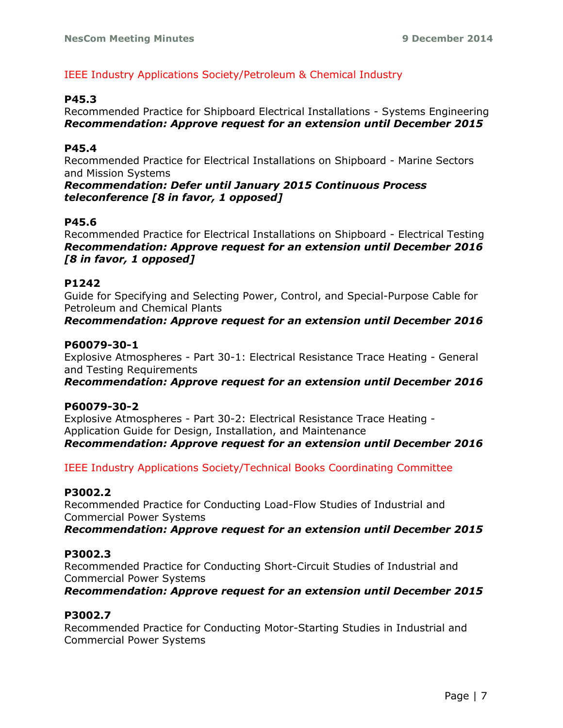## IEEE Industry Applications Society/Petroleum & Chemical Industry

### **P45.3**

Recommended Practice for Shipboard Electrical Installations - Systems Engineering *Recommendation: Approve request for an extension until December 2015*

### **P45.4**

Recommended Practice for Electrical Installations on Shipboard - Marine Sectors and Mission Systems

*Recommendation: Defer until January 2015 Continuous Process teleconference [8 in favor, 1 opposed]*

### **P45.6**

Recommended Practice for Electrical Installations on Shipboard - Electrical Testing *Recommendation: Approve request for an extension until December 2016 [8 in favor, 1 opposed]*

### **P1242**

Guide for Specifying and Selecting Power, Control, and Special-Purpose Cable for Petroleum and Chemical Plants

*Recommendation: Approve request for an extension until December 2016*

### **P60079-30-1**

Explosive Atmospheres - Part 30-1: Electrical Resistance Trace Heating - General and Testing Requirements

*Recommendation: Approve request for an extension until December 2016*

#### **P60079-30-2**

Explosive Atmospheres - Part 30-2: Electrical Resistance Trace Heating - Application Guide for Design, Installation, and Maintenance *Recommendation: Approve request for an extension until December 2016*

IEEE Industry Applications Society/Technical Books Coordinating Committee

### **P3002.2**

Recommended Practice for Conducting Load-Flow Studies of Industrial and Commercial Power Systems

*Recommendation: Approve request for an extension until December 2015*

## **P3002.3**

Recommended Practice for Conducting Short-Circuit Studies of Industrial and Commercial Power Systems

*Recommendation: Approve request for an extension until December 2015*

## **P3002.7**

Recommended Practice for Conducting Motor-Starting Studies in Industrial and Commercial Power Systems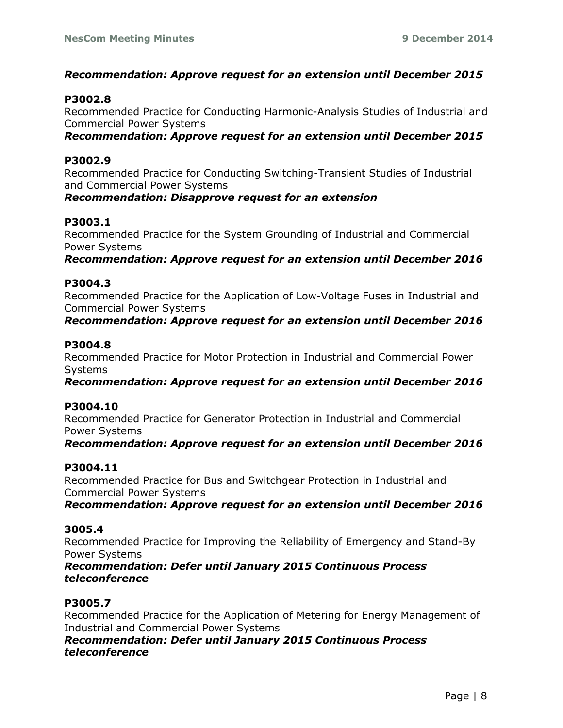### *Recommendation: Approve request for an extension until December 2015*

#### **P3002.8**

Recommended Practice for Conducting Harmonic-Analysis Studies of Industrial and Commercial Power Systems

*Recommendation: Approve request for an extension until December 2015*

#### **P3002.9**

Recommended Practice for Conducting Switching-Transient Studies of Industrial and Commercial Power Systems

#### *Recommendation: Disapprove request for an extension*

### **P3003.1**

Recommended Practice for the System Grounding of Industrial and Commercial Power Systems

*Recommendation: Approve request for an extension until December 2016*

## **P3004.3**

Recommended Practice for the Application of Low-Voltage Fuses in Industrial and Commercial Power Systems

*Recommendation: Approve request for an extension until December 2016*

#### **P3004.8**

Recommended Practice for Motor Protection in Industrial and Commercial Power Systems

*Recommendation: Approve request for an extension until December 2016*

#### **P3004.10**

Recommended Practice for Generator Protection in Industrial and Commercial Power Systems

*Recommendation: Approve request for an extension until December 2016*

#### **P3004.11**

Recommended Practice for Bus and Switchgear Protection in Industrial and Commercial Power Systems

*Recommendation: Approve request for an extension until December 2016*

#### **3005.4**

Recommended Practice for Improving the Reliability of Emergency and Stand-By Power Systems

*Recommendation: Defer until January 2015 Continuous Process teleconference*

### **P3005.7**

Recommended Practice for the Application of Metering for Energy Management of Industrial and Commercial Power Systems

*Recommendation: Defer until January 2015 Continuous Process teleconference*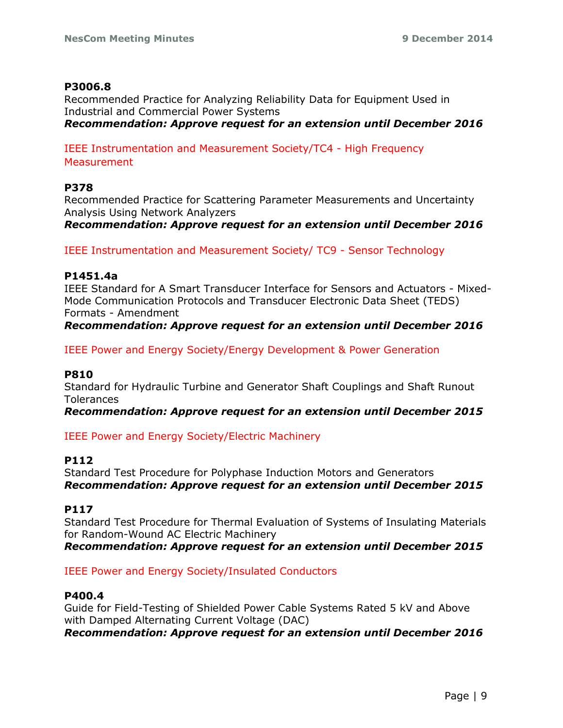#### **P3006.8**

Recommended Practice for Analyzing Reliability Data for Equipment Used in Industrial and Commercial Power Systems *Recommendation: Approve request for an extension until December 2016*

IEEE Instrumentation and Measurement Society/TC4 - High Frequency **Measurement** 

#### **P378**

Recommended Practice for Scattering Parameter Measurements and Uncertainty Analysis Using Network Analyzers

*Recommendation: Approve request for an extension until December 2016*

IEEE Instrumentation and Measurement Society/ TC9 - Sensor Technology

#### **P1451.4a**

IEEE Standard for A Smart Transducer Interface for Sensors and Actuators - Mixed-Mode Communication Protocols and Transducer Electronic Data Sheet (TEDS) Formats - Amendment *Recommendation: Approve request for an extension until December 2016*

IEEE Power and Energy Society/Energy Development & Power Generation

#### **P810**

Standard for Hydraulic Turbine and Generator Shaft Couplings and Shaft Runout **Tolerances** 

*Recommendation: Approve request for an extension until December 2015*

IEEE Power and Energy Society/Electric Machinery

#### **P112**

Standard Test Procedure for Polyphase Induction Motors and Generators *Recommendation: Approve request for an extension until December 2015*

#### **P117**

Standard Test Procedure for Thermal Evaluation of Systems of Insulating Materials for Random-Wound AC Electric Machinery

*Recommendation: Approve request for an extension until December 2015*

#### IEEE Power and Energy Society/Insulated Conductors

#### **P400.4**

Guide for Field-Testing of Shielded Power Cable Systems Rated 5 kV and Above with Damped Alternating Current Voltage (DAC)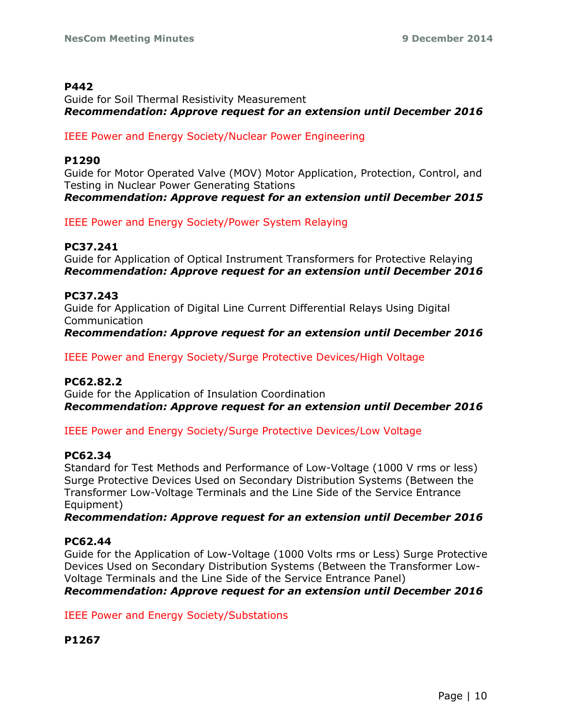#### **P442**

Guide for Soil Thermal Resistivity Measurement *Recommendation: Approve request for an extension until December 2016*

#### IEEE Power and Energy Society/Nuclear Power Engineering

#### **P1290**

Guide for Motor Operated Valve (MOV) Motor Application, Protection, Control, and Testing in Nuclear Power Generating Stations *Recommendation: Approve request for an extension until December 2015*

IEEE Power and Energy Society/Power System Relaying

#### **PC37.241**

Guide for Application of Optical Instrument Transformers for Protective Relaying *Recommendation: Approve request for an extension until December 2016*

#### **PC37.243**

Guide for Application of Digital Line Current Differential Relays Using Digital Communication

*Recommendation: Approve request for an extension until December 2016*

IEEE Power and Energy Society/Surge Protective Devices/High Voltage

#### **PC62.82.2**

Guide for the Application of Insulation Coordination *Recommendation: Approve request for an extension until December 2016*

IEEE Power and Energy Society/Surge Protective Devices/Low Voltage

#### **PC62.34**

Standard for Test Methods and Performance of Low-Voltage (1000 V rms or less) Surge Protective Devices Used on Secondary Distribution Systems (Between the Transformer Low-Voltage Terminals and the Line Side of the Service Entrance Equipment)

#### *Recommendation: Approve request for an extension until December 2016*

#### **PC62.44**

Guide for the Application of Low-Voltage (1000 Volts rms or Less) Surge Protective Devices Used on Secondary Distribution Systems (Between the Transformer Low-Voltage Terminals and the Line Side of the Service Entrance Panel)

*Recommendation: Approve request for an extension until December 2016*

IEEE Power and Energy Society/Substations

**P1267**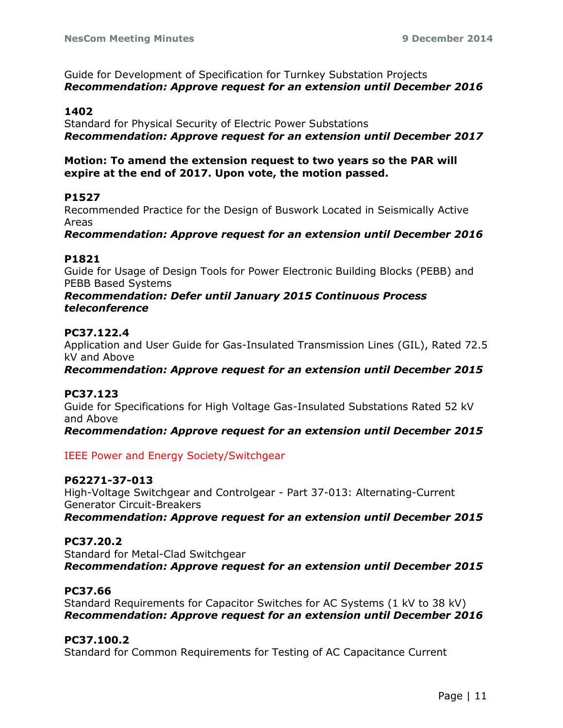Guide for Development of Specification for Turnkey Substation Projects *Recommendation: Approve request for an extension until December 2016*

#### **1402**

Standard for Physical Security of Electric Power Substations *Recommendation: Approve request for an extension until December 2017*

#### **Motion: To amend the extension request to two years so the PAR will expire at the end of 2017. Upon vote, the motion passed.**

#### **P1527**

Recommended Practice for the Design of Buswork Located in Seismically Active Areas

*Recommendation: Approve request for an extension until December 2016*

#### **P1821**

Guide for Usage of Design Tools for Power Electronic Building Blocks (PEBB) and PEBB Based Systems

#### *Recommendation: Defer until January 2015 Continuous Process teleconference*

#### **PC37.122.4**

Application and User Guide for Gas-Insulated Transmission Lines (GIL), Rated 72.5 kV and Above

*Recommendation: Approve request for an extension until December 2015*

#### **PC37.123**

Guide for Specifications for High Voltage Gas-Insulated Substations Rated 52 kV and Above

*Recommendation: Approve request for an extension until December 2015*

IEEE Power and Energy Society/Switchgear

#### **P62271-37-013**

High-Voltage Switchgear and Controlgear - Part 37-013: Alternating-Current Generator Circuit-Breakers *Recommendation: Approve request for an extension until December 2015*

#### **PC37.20.2**

Standard for Metal-Clad Switchgear *Recommendation: Approve request for an extension until December 2015*

#### **PC37.66**

Standard Requirements for Capacitor Switches for AC Systems (1 kV to 38 kV) *Recommendation: Approve request for an extension until December 2016*

#### **PC37.100.2**

Standard for Common Requirements for Testing of AC Capacitance Current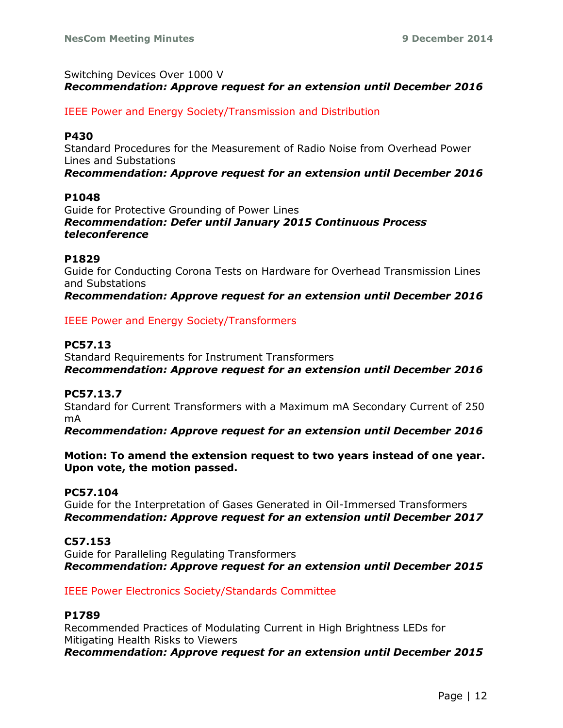### Switching Devices Over 1000 V *Recommendation: Approve request for an extension until December 2016*

IEEE Power and Energy Society/Transmission and Distribution

#### **P430**

Standard Procedures for the Measurement of Radio Noise from Overhead Power Lines and Substations

*Recommendation: Approve request for an extension until December 2016*

#### **P1048**

Guide for Protective Grounding of Power Lines *Recommendation: Defer until January 2015 Continuous Process teleconference*

#### **P1829**

Guide for Conducting Corona Tests on Hardware for Overhead Transmission Lines and Substations

*Recommendation: Approve request for an extension until December 2016*

#### IEEE Power and Energy Society/Transformers

#### **PC57.13**

Standard Requirements for Instrument Transformers *Recommendation: Approve request for an extension until December 2016*

#### **PC57.13.7**

Standard for Current Transformers with a Maximum mA Secondary Current of 250 mA

*Recommendation: Approve request for an extension until December 2016* 

**Motion: To amend the extension request to two years instead of one year. Upon vote, the motion passed.**

#### **PC57.104**

Guide for the Interpretation of Gases Generated in Oil-Immersed Transformers *Recommendation: Approve request for an extension until December 2017*

#### **C57.153**

Guide for Paralleling Regulating Transformers *Recommendation: Approve request for an extension until December 2015*

#### IEEE Power Electronics Society/Standards Committee

#### **P1789**

Recommended Practices of Modulating Current in High Brightness LEDs for Mitigating Health Risks to Viewers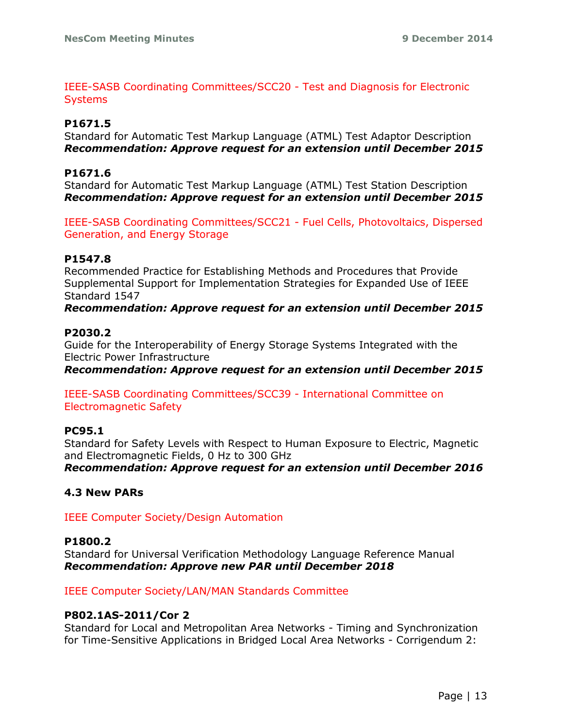IEEE-SASB Coordinating Committees/SCC20 - Test and Diagnosis for Electronic **Systems** 

### **P1671.5**

Standard for Automatic Test Markup Language (ATML) Test Adaptor Description *Recommendation: Approve request for an extension until December 2015*

### **P1671.6**

Standard for Automatic Test Markup Language (ATML) Test Station Description *Recommendation: Approve request for an extension until December 2015*

IEEE-SASB Coordinating Committees/SCC21 - Fuel Cells, Photovoltaics, Dispersed Generation, and Energy Storage

## **P1547.8**

Recommended Practice for Establishing Methods and Procedures that Provide Supplemental Support for Implementation Strategies for Expanded Use of IEEE Standard 1547

*Recommendation: Approve request for an extension until December 2015*

#### **P2030.2**

Guide for the Interoperability of Energy Storage Systems Integrated with the Electric Power Infrastructure

*Recommendation: Approve request for an extension until December 2015*

IEEE-SASB Coordinating Committees/SCC39 - International Committee on Electromagnetic Safety

#### **PC95.1**

Standard for Safety Levels with Respect to Human Exposure to Electric, Magnetic and Electromagnetic Fields, 0 Hz to 300 GHz

*Recommendation: Approve request for an extension until December 2016*

#### **4.3 New PARs**

IEEE Computer Society/Design Automation

#### **P1800.2**

Standard for Universal Verification Methodology Language Reference Manual *Recommendation: Approve new PAR until December 2018*

IEEE Computer Society/LAN/MAN Standards Committee

#### **P802.1AS-2011/Cor 2**

Standard for Local and Metropolitan Area Networks - Timing and Synchronization for Time-Sensitive Applications in Bridged Local Area Networks - Corrigendum 2: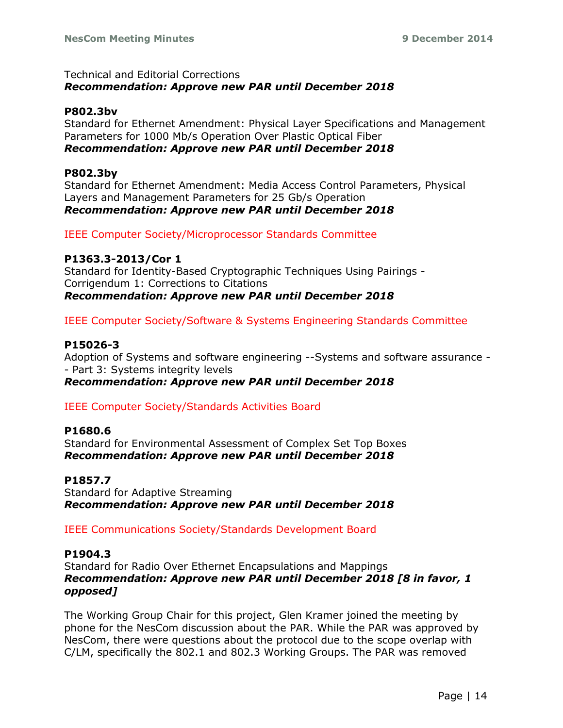### Technical and Editorial Corrections *Recommendation: Approve new PAR until December 2018*

### **P802.3bv**

Standard for Ethernet Amendment: Physical Layer Specifications and Management Parameters for 1000 Mb/s Operation Over Plastic Optical Fiber *Recommendation: Approve new PAR until December 2018*

### **P802.3by**

Standard for Ethernet Amendment: Media Access Control Parameters, Physical Layers and Management Parameters for 25 Gb/s Operation *Recommendation: Approve new PAR until December 2018*

IEEE Computer Society/Microprocessor Standards Committee

### **P1363.3-2013/Cor 1**

Standard for Identity-Based Cryptographic Techniques Using Pairings - Corrigendum 1: Corrections to Citations *Recommendation: Approve new PAR until December 2018*

IEEE Computer Society/Software & Systems Engineering Standards Committee

### **P15026-3**

Adoption of Systems and software engineering --Systems and software assurance - - Part 3: Systems integrity levels *Recommendation: Approve new PAR until December 2018*

## IEEE Computer Society/Standards Activities Board

#### **P1680.6**

Standard for Environmental Assessment of Complex Set Top Boxes *Recommendation: Approve new PAR until December 2018*

## **P1857.7**

Standard for Adaptive Streaming *Recommendation: Approve new PAR until December 2018*

## IEEE Communications Society/Standards Development Board

#### **P1904.3**

Standard for Radio Over Ethernet Encapsulations and Mappings *Recommendation: Approve new PAR until December 2018 [8 in favor, 1 opposed]*

The Working Group Chair for this project, Glen Kramer joined the meeting by phone for the NesCom discussion about the PAR. While the PAR was approved by NesCom, there were questions about the protocol due to the scope overlap with C/LM, specifically the 802.1 and 802.3 Working Groups. The PAR was removed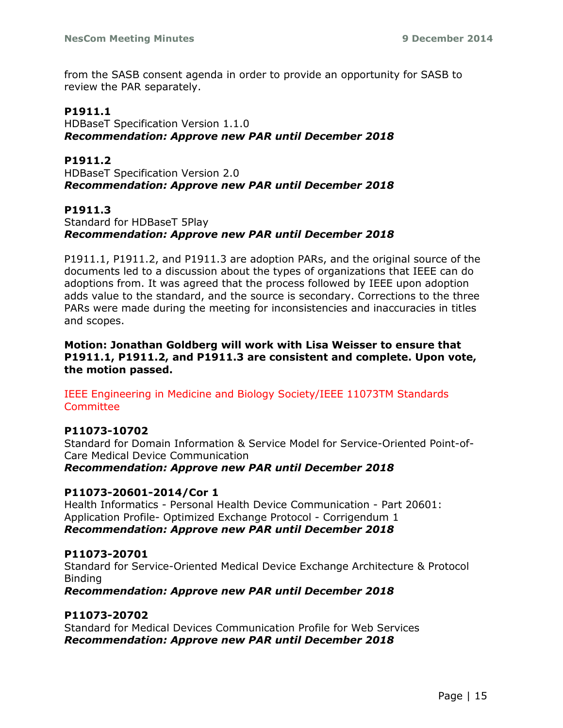from the SASB consent agenda in order to provide an opportunity for SASB to review the PAR separately.

### **P1911.1**

HDBaseT Specification Version 1.1.0 *Recommendation: Approve new PAR until December 2018*

#### **P1911.2**

HDBaseT Specification Version 2.0 *Recommendation: Approve new PAR until December 2018*

### **P1911.3**

Standard for HDBaseT 5Play *Recommendation: Approve new PAR until December 2018*

P1911.1, P1911.2, and P1911.3 are adoption PARs, and the original source of the documents led to a discussion about the types of organizations that IEEE can do adoptions from. It was agreed that the process followed by IEEE upon adoption adds value to the standard, and the source is secondary. Corrections to the three PARs were made during the meeting for inconsistencies and inaccuracies in titles and scopes.

**Motion: Jonathan Goldberg will work with Lisa Weisser to ensure that P1911.1, P1911.2, and P1911.3 are consistent and complete. Upon vote, the motion passed.**

IEEE Engineering in Medicine and Biology Society/IEEE 11073TM Standards **Committee** 

#### **P11073-10702**

Standard for Domain Information & Service Model for Service-Oriented Point-of-Care Medical Device Communication

*Recommendation: Approve new PAR until December 2018*

#### **P11073-20601-2014/Cor 1**

Health Informatics - Personal Health Device Communication - Part 20601: Application Profile- Optimized Exchange Protocol - Corrigendum 1 *Recommendation: Approve new PAR until December 2018*

#### **P11073-20701**

Standard for Service-Oriented Medical Device Exchange Architecture & Protocol Binding

*Recommendation: Approve new PAR until December 2018*

#### **P11073-20702**

Standard for Medical Devices Communication Profile for Web Services *Recommendation: Approve new PAR until December 2018*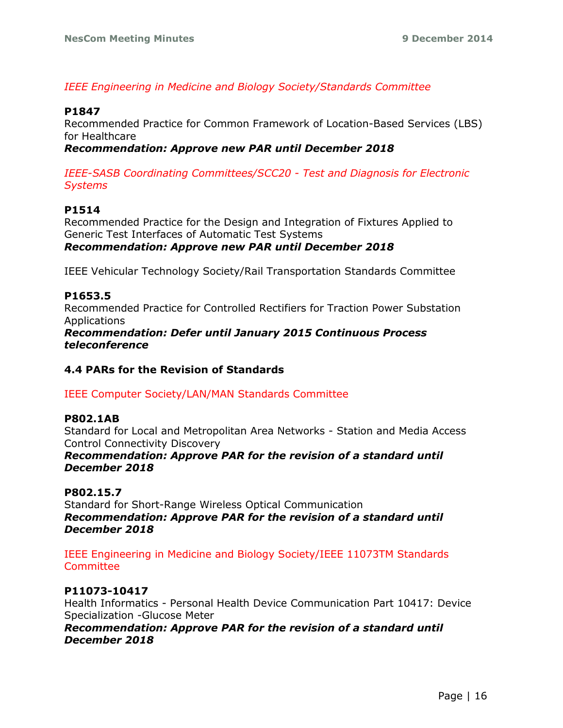### *IEEE Engineering in Medicine and Biology Society/Standards Committee*

#### **P1847**

Recommended Practice for Common Framework of Location-Based Services (LBS) for Healthcare

### *Recommendation: Approve new PAR until December 2018*

*IEEE-SASB Coordinating Committees/SCC20 - Test and Diagnosis for Electronic Systems*

### **P1514**

Recommended Practice for the Design and Integration of Fixtures Applied to Generic Test Interfaces of Automatic Test Systems *Recommendation: Approve new PAR until December 2018*

IEEE Vehicular Technology Society/Rail Transportation Standards Committee

### **P1653.5**

Recommended Practice for Controlled Rectifiers for Traction Power Substation Applications

*Recommendation: Defer until January 2015 Continuous Process teleconference*

#### **4.4 PARs for the Revision of Standards**

IEEE Computer Society/LAN/MAN Standards Committee

#### **P802.1AB**

Standard for Local and Metropolitan Area Networks - Station and Media Access Control Connectivity Discovery

*Recommendation: Approve PAR for the revision of a standard until December 2018*

### **P802.15.7**

Standard for Short-Range Wireless Optical Communication *Recommendation: Approve PAR for the revision of a standard until December 2018*

### IEEE Engineering in Medicine and Biology Society/IEEE 11073TM Standards **Committee**

## **P11073-10417**

Health Informatics - Personal Health Device Communication Part 10417: Device Specialization -Glucose Meter

*Recommendation: Approve PAR for the revision of a standard until December 2018*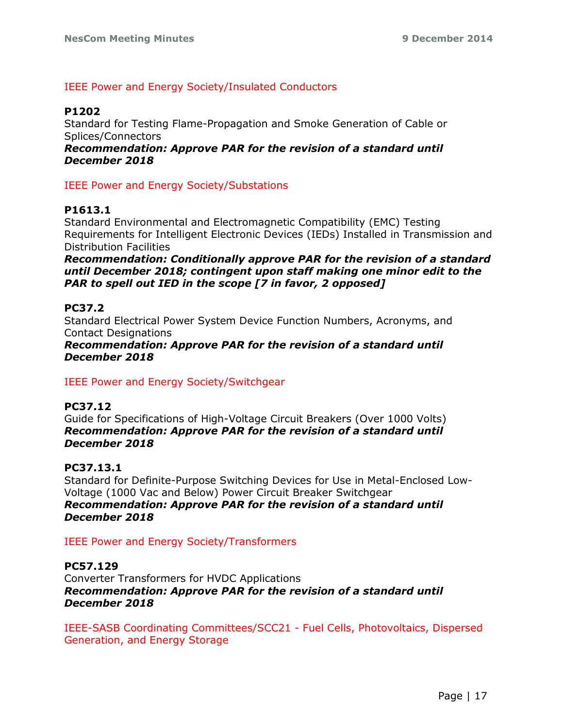### IEEE Power and Energy Society/Insulated Conductors

### **P1202**

Standard for Testing Flame-Propagation and Smoke Generation of Cable or Splices/Connectors

*Recommendation: Approve PAR for the revision of a standard until December 2018*

IEEE Power and Energy Society/Substations

### **P1613.1**

Standard Environmental and Electromagnetic Compatibility (EMC) Testing Requirements for Intelligent Electronic Devices (IEDs) Installed in Transmission and Distribution Facilities

*Recommendation: Conditionally approve PAR for the revision of a standard until December 2018; contingent upon staff making one minor edit to the PAR to spell out IED in the scope [7 in favor, 2 opposed]*

### **PC37.2**

Standard Electrical Power System Device Function Numbers, Acronyms, and Contact Designations

*Recommendation: Approve PAR for the revision of a standard until December 2018*

IEEE Power and Energy Society/Switchgear

#### **PC37.12**

Guide for Specifications of High-Voltage Circuit Breakers (Over 1000 Volts) *Recommendation: Approve PAR for the revision of a standard until December 2018*

#### **PC37.13.1**

Standard for Definite-Purpose Switching Devices for Use in Metal-Enclosed Low-Voltage (1000 Vac and Below) Power Circuit Breaker Switchgear *Recommendation: Approve PAR for the revision of a standard until December 2018*

#### IEEE Power and Energy Society/Transformers

### **PC57.129**

Converter Transformers for HVDC Applications *Recommendation: Approve PAR for the revision of a standard until December 2018*

IEEE-SASB Coordinating Committees/SCC21 - Fuel Cells, Photovoltaics, Dispersed Generation, and Energy Storage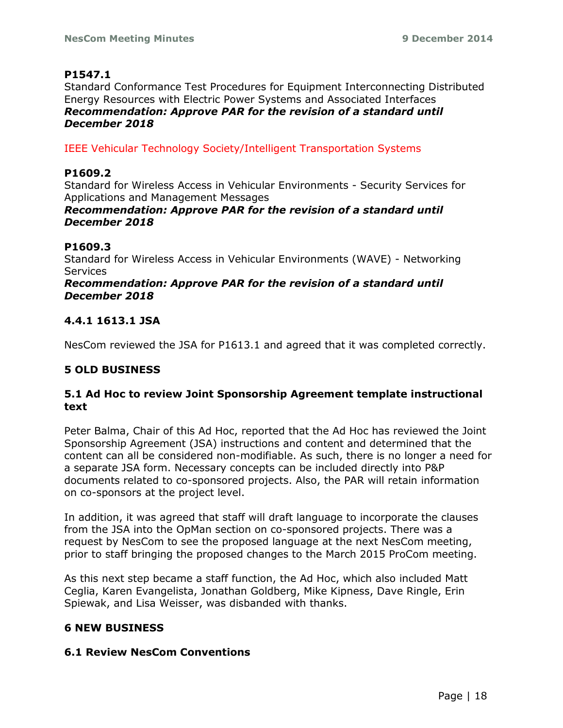## **P1547.1**

Standard Conformance Test Procedures for Equipment Interconnecting Distributed Energy Resources with Electric Power Systems and Associated Interfaces *Recommendation: Approve PAR for the revision of a standard until December 2018*

IEEE Vehicular Technology Society/Intelligent Transportation Systems

## **P1609.2**

Standard for Wireless Access in Vehicular Environments - Security Services for Applications and Management Messages

### *Recommendation: Approve PAR for the revision of a standard until December 2018*

## **P1609.3**

Standard for Wireless Access in Vehicular Environments (WAVE) - Networking Services

#### *Recommendation: Approve PAR for the revision of a standard until December 2018*

## **4.4.1 1613.1 JSA**

NesCom reviewed the JSA for P1613.1 and agreed that it was completed correctly.

## **5 OLD BUSINESS**

## **5.1 Ad Hoc to review Joint Sponsorship Agreement template instructional text**

Peter Balma, Chair of this Ad Hoc, reported that the Ad Hoc has reviewed the Joint Sponsorship Agreement (JSA) instructions and content and determined that the content can all be considered non-modifiable. As such, there is no longer a need for a separate JSA form. Necessary concepts can be included directly into P&P documents related to co-sponsored projects. Also, the PAR will retain information on co-sponsors at the project level.

In addition, it was agreed that staff will draft language to incorporate the clauses from the JSA into the OpMan section on co-sponsored projects. There was a request by NesCom to see the proposed language at the next NesCom meeting, prior to staff bringing the proposed changes to the March 2015 ProCom meeting.

As this next step became a staff function, the Ad Hoc, which also included Matt Ceglia, Karen Evangelista, Jonathan Goldberg, Mike Kipness, Dave Ringle, Erin Spiewak, and Lisa Weisser, was disbanded with thanks.

## **6 NEW BUSINESS**

#### **6.1 Review NesCom Conventions**